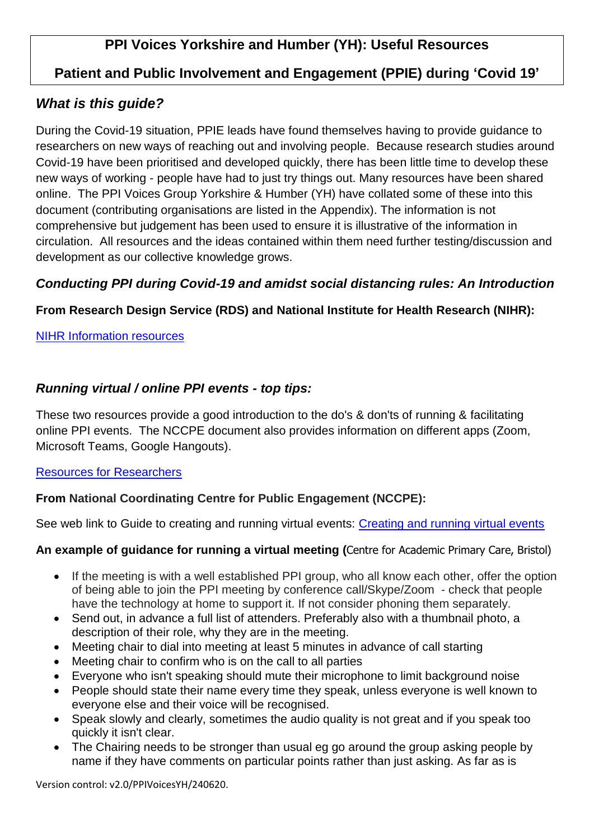# **Patient and Public Involvement and Engagement (PPIE) during 'Covid 19'**

## *What is this guide?*

During the Covid-19 situation, PPIE leads have found themselves having to provide guidance to researchers on new ways of reaching out and involving people. Because research studies around Covid-19 have been prioritised and developed quickly, there has been little time to develop these new ways of working - people have had to just try things out. Many resources have been shared online. The PPI Voices Group Yorkshire & Humber (YH) have collated some of these into this document (contributing organisations are listed in the Appendix). The information is not comprehensive but judgement has been used to ensure it is illustrative of the information in circulation. All resources and the ideas contained within them need further testing/discussion and development as our collective knowledge grows.

### *Conducting PPI during Covid-19 and amidst social distancing rules: An Introduction*

## **From Research Design Service (RDS) and National Institute for Health Research (NIHR):**

#### [NIHR Information resources](https://www.rds-sc.nihr.ac.uk/ppi-information-resources/ppi-covid19/)

## *Running virtual / online PPI events - top tips:*

These two resources provide a good introduction to the do's & don'ts of running & facilitating online PPI events. The NCCPE document also provides information on different apps (Zoom, Microsoft Teams, Google Hangouts).

#### [Resources for Researchers](https://www.spcr.nihr.ac.uk/PPI/resources-for-researchers/faq/how-do-i-hold-ppi-meetings-using-virtual-tools)

### **From National Coordinating Centre for Public Engagement (NCCPE):**

See web link to Guide to creating and running virtual events: [Creating and running virtual events](https://www.publicengagement.ac.uk/sites/default/files/publication/creating_and_running_virtual_events_-_april_2020_v1.pdf)

#### **An example of guidance for running a virtual meeting (**Centre for Academic Primary Care, Bristol)

- If the meeting is with a well established PPI group, who all know each other, offer the option of being able to join the PPI meeting by conference call/Skype/Zoom - check that people have the technology at home to support it. If not consider phoning them separately.
- Send out, in advance a full list of attenders. Preferably also with a thumbnail photo, a description of their role, why they are in the meeting.
- Meeting chair to dial into meeting at least 5 minutes in advance of call starting
- Meeting chair to confirm who is on the call to all parties
- Everyone who isn't speaking should mute their microphone to limit background noise
- People should state their name every time they speak, unless everyone is well known to everyone else and their voice will be recognised.
- Speak slowly and clearly, sometimes the audio quality is not great and if you speak too quickly it isn't clear.
- The Chairing needs to be stronger than usual eg go around the group asking people by name if they have comments on particular points rather than just asking. As far as is

Version control: v2.0/PPIVoicesYH/240620.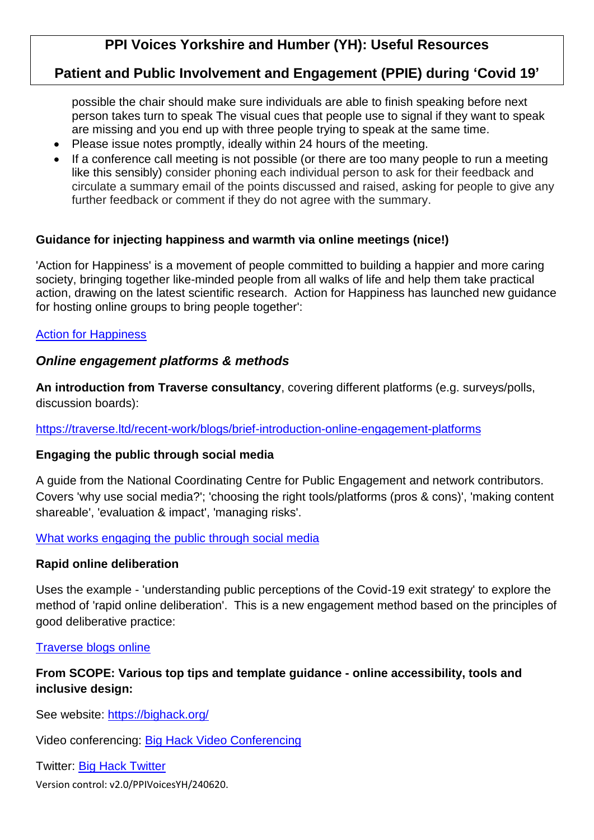## **Patient and Public Involvement and Engagement (PPIE) during 'Covid 19'**

possible the chair should make sure individuals are able to finish speaking before next person takes turn to speak The visual cues that people use to signal if they want to speak are missing and you end up with three people trying to speak at the same time.

- Please issue notes promptly, ideally within 24 hours of the meeting.
- If a conference call meeting is not possible (or there are too many people to run a meeting like this sensibly) consider phoning each individual person to ask for their feedback and circulate a summary email of the points discussed and raised, asking for people to give any further feedback or comment if they do not agree with the summary.

#### **Guidance for injecting happiness and warmth via online meetings (nice!)**

'Action for Happiness' is a movement of people committed to building a happier and more caring society, bringing together like-minded people from all walks of life and help them take practical action, drawing on the latest scientific research. Action for Happiness has launched new guidance for hosting online groups to bring people together':

#### [Action for Happiness](https://www.actionforhappiness.org/news/new-guidance-for-online-groups)

#### *Online engagement platforms & methods*

**An introduction from Traverse consultancy**, covering different platforms (e.g. surveys/polls, discussion boards):

<https://traverse.ltd/recent-work/blogs/brief-introduction-online-engagement-platforms>

#### **Engaging the public through social media**

A guide from the National Coordinating Centre for Public Engagement and network contributors. Covers 'why use social media?'; 'choosing the right tools/platforms (pros & cons)', 'making content shareable', 'evaluation & impact', 'managing risks'.

#### [What works engaging the public through social media](https://www.publicengagement.ac.uk/sites/default/files/publication/what_works_engaging_the_public_through_social_media_november_2018.pdf)

#### **Rapid online deliberation**

Uses the example - 'understanding public perceptions of the Covid-19 exit strategy' to explore the method of 'rapid online deliberation'. This is a new engagement method based on the principles of good deliberative practice:

#### [Traverse blogs online](https://traverse.ltd/recent-work/blogs/online-deliberation-under-covid-19-why-it-matters-and-what-were-doing)

#### **From SCOPE: Various top tips and template guidance - online accessibility, tools and inclusive design:**

See website:<https://bighack.org/>

Video conferencing: [Big Hack Video Conferencing](https://bighack.org/best-videoconferencing-apps-and-software-for-accessibility/)

Twitter: [Big Hack Twitter](https://bighack.org/8-ways-you-can-make-your-twitter-feed-more-accessible/)

Version control: v2.0/PPIVoicesYH/240620.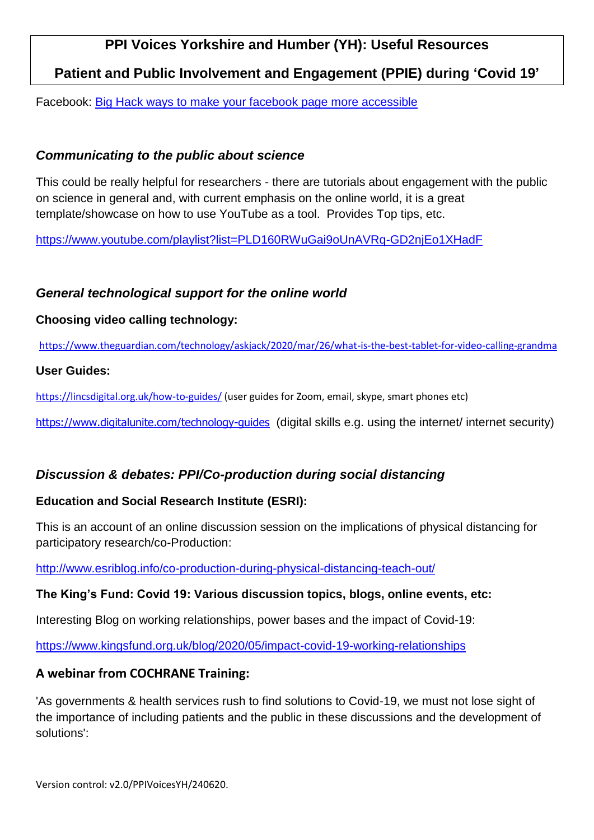**Patient and Public Involvement and Engagement (PPIE) during 'Covid 19'**

Facebook: [Big Hack ways to make your facebook page more accessible](https://bighack.org/10-ways-you-can-make-your-facebook-business-page-more-accessible/)

### *Communicating to the public about science*

This could be really helpful for researchers - there are tutorials about engagement with the public on science in general and, with current emphasis on the online world, it is a great template/showcase on how to use YouTube as a tool. Provides Top tips, etc.

<https://www.youtube.com/playlist?list=PLD160RWuGai9oUnAVRq-GD2njEo1XHadF>

### *General technological support for the online world*

#### **Choosing video calling technology:**

<https://www.theguardian.com/technology/askjack/2020/mar/26/what-is-the-best-tablet-for-video-calling-grandma>

#### **User Guides:**

<https://lincsdigital.org.uk/how-to-guides/> (user guides for Zoom, email, skype, smart phones etc)

<https://www.digitalunite.com/technology-guides> (digital skills e.g. using the internet/ internet security)

## *Discussion & debates: PPI/Co-production during social distancing*

### **Education and Social Research Institute (ESRI):**

This is an account of an online discussion session on the implications of physical distancing for participatory research/co-Production:

<http://www.esriblog.info/co-production-during-physical-distancing-teach-out/>

### **The King's Fund: Covid 19: Various discussion topics, blogs, online events, etc:**

Interesting Blog on working relationships, power bases and the impact of Covid-19:

[https://www.kingsfund.org.uk/blog/2020/05/impact-covid-19-working-relationships](https://www.kingsfund.org.uk/blog/2020/05/impact-covid-19-working-relationships?utm_source=The%20King%27s%20Fund%20newsletters%20%28main%20account%29&utm_medium=email&utm_campaign=11564387_Copy%20of%20NEWSL_The%20Weekly%20Update%202020-05-22&utm_content=covid_19_working_relationships_button&dm_i=21A8,6VV4Z,FLWQVO,RN7YB,1)

### **A webinar from COCHRANE Training:**

'As governments & health services rush to find solutions to Covid-19, we must not lose sight of the [importance of including patients and the public](https://blogs.bmj.com/bmj/2020/03/30/the-views-of-patients-and-the-public-should-be-included-in-policy-responses-to-covid-19/) in these discussions and the development of solutions':

Version control: v2.0/PPIVoicesYH/240620.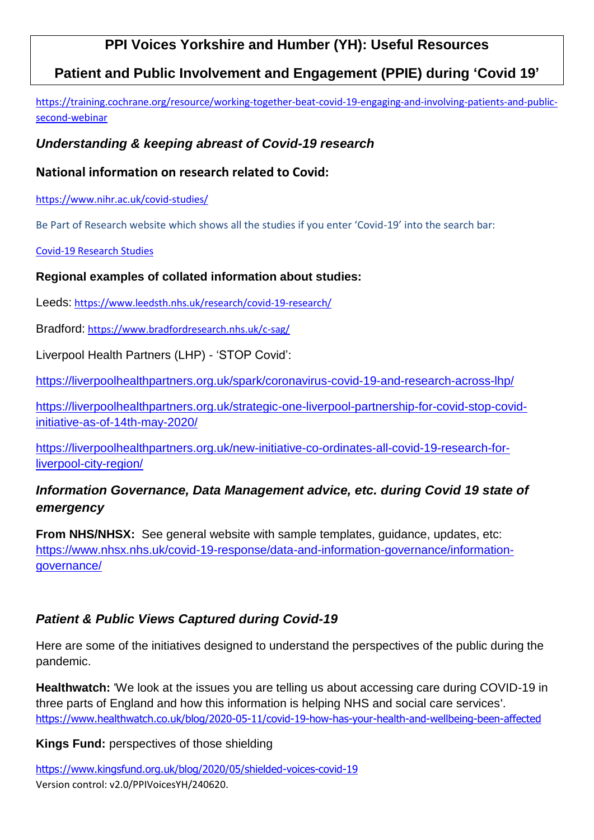## **Patient and Public Involvement and Engagement (PPIE) during 'Covid 19'**

[https://training.cochrane.org/resource/working-together-beat-covid-19-engaging-and-involving-patients-and-public](https://training.cochrane.org/resource/working-together-beat-covid-19-engaging-and-involving-patients-and-public-second-webinar)[second-webinar](https://training.cochrane.org/resource/working-together-beat-covid-19-engaging-and-involving-patients-and-public-second-webinar)

### *Understanding & keeping abreast of Covid-19 research*

#### **National information on research related to Covid:**

[https://www.nihr.ac.uk/covid-studies/](https://owa.bradfordhospitals.nhs.uk/owa/redir.aspx?REF=1Y9ImdbcXo5KWbN0CFMsYx5DOnVsS8tSdpM9paYDp1RGU8tWZhPYCAFodHRwczovL3d3dy5uaWhyLmFjLnVrL2NvdmlkLXN0dWRpZXMv)

Be Part of Research website which shows all the studies if you enter 'Covid-19' into the search bar:

[Covid-19 Research Studies](https://bepartofresearch.nihr.ac.uk/results/search-results?query=covid-19&location=&search=%257B%2522query%2522%253A%2522covid-19%2522%252C%2522facetDef%2522%253A%257B%2522Gender%2522%253A%255B%255D%252C%2522Study%2520Status%2522%253A%255B%2522Recruiting%2522%255D%252C%2522Updated%2520Within%2522%253A%255B%255D%252C%2522Age%2520Range%2522%253A%255B%255D%252C%2522Health%2520Tag%2522%253A%255B%255D%257D%252C%2522rows%2522%253A%252210%2522%252C%2522offset%2522%253A%25220%2522%252C%2522openurl%2522%253A%2522yes%2522%252C%2522dist%2522%253A0%252C%2522sortBy%2522%253Anull%252C%2522sortOrder%2522%253Anull%257D)

#### **Regional examples of collated information about studies:**

Leeds: [https://www.leedsth.nhs.uk/research/covid-19-research/](https://owa.bradfordhospitals.nhs.uk/owa/redir.aspx?REF=XCJhNvYKv8h9i_fLl6WungZ_KBnX5dMfcb6WUo8T_t1GU8tWZhPYCAFodHRwczovL3d3dy5sZWVkc3RoLm5ocy51ay9yZXNlYXJjaC9jb3ZpZC0xOS1yZXNlYXJjaC8.)

Bradford: <https://www.bradfordresearch.nhs.uk/c-sag/>

Liverpool Health Partners (LHP) - 'STOP Covid':

<https://liverpoolhealthpartners.org.uk/spark/coronavirus-covid-19-and-research-across-lhp/>

[https://liverpoolhealthpartners.org.uk/strategic-one-liverpool-partnership-for-covid-stop-covid](https://liverpoolhealthpartners.org.uk/strategic-one-liverpool-partnership-for-covid-stop-covid-initiative-as-of-14th-may-2020/)[initiative-as-of-14th-may-2020/](https://liverpoolhealthpartners.org.uk/strategic-one-liverpool-partnership-for-covid-stop-covid-initiative-as-of-14th-may-2020/)

[https://liverpoolhealthpartners.org.uk/new-initiative-co-ordinates-all-covid-19-research-for](https://liverpoolhealthpartners.org.uk/new-initiative-co-ordinates-all-covid-19-research-for-liverpool-city-region/)[liverpool-city-region/](https://liverpoolhealthpartners.org.uk/new-initiative-co-ordinates-all-covid-19-research-for-liverpool-city-region/)

## *Information Governance, Data Management advice, etc. during Covid 19 state of emergency*

**From NHS/NHSX:** See general website with sample templates, guidance, updates, etc: [https://www.nhsx.nhs.uk/covid-19-response/data-and-information-governance/information](https://www.nhsx.nhs.uk/covid-19-response/data-and-information-governance/information-governance/)[governance/](https://www.nhsx.nhs.uk/covid-19-response/data-and-information-governance/information-governance/)

## *Patient & Public Views Captured during Covid-19*

Here are some of the initiatives designed to understand the perspectives of the public during the pandemic.

**Healthwatch:** 'We look at the issues you are telling us about accessing care during COVID-19 in three parts of England and how this information is helping NHS and social care services'[.](https://owa.bradfordhospitals.nhs.uk/owa/redir.aspx?REF=_8yg0IEwuE5HTYzaq3l0ksq-rpfKIlzZB65E-brStNtelZHQbRPYCAFodHRwczovL3d3dy5oZWFsdGh3YXRjaC5jby51ay9ibG9nLzIwMjAtMDUtMTEvY292aWQtMTktaG93LWhhcy15b3VyLWhlYWx0aC1hbmQtd2VsbGJlaW5nLWJlZW4tYWZmZWN0ZWQ.) [https://www.healthwatch.co.uk/blog/2020-05-11/covid-19-how-has-your-health-and-wellbeing-been-affected](https://owa.bradfordhospitals.nhs.uk/owa/redir.aspx?REF=_8yg0IEwuE5HTYzaq3l0ksq-rpfKIlzZB65E-brStNtelZHQbRPYCAFodHRwczovL3d3dy5oZWFsdGh3YXRjaC5jby51ay9ibG9nLzIwMjAtMDUtMTEvY292aWQtMTktaG93LWhhcy15b3VyLWhlYWx0aC1hbmQtd2VsbGJlaW5nLWJlZW4tYWZmZWN0ZWQ.)

**Kings Fund:** perspectives of those shielding

Version control: v2.0/PPIVoicesYH/240620. [https://www.kingsfund.org.uk/blog/2020/05/shielded-voices-covid-19](https://owa.bradfordhospitals.nhs.uk/owa/redir.aspx?REF=b1ZC7QqdzVKfRj0nnHITaU1bRwa66asLPt5yB_jyXkvC9pPQbRPYCAFodHRwczovL3d3dy5raW5nc2Z1bmQub3JnLnVrL2Jsb2cvMjAyMC8wNS9zaGllbGRlZC12b2ljZXMtY292aWQtMTk.)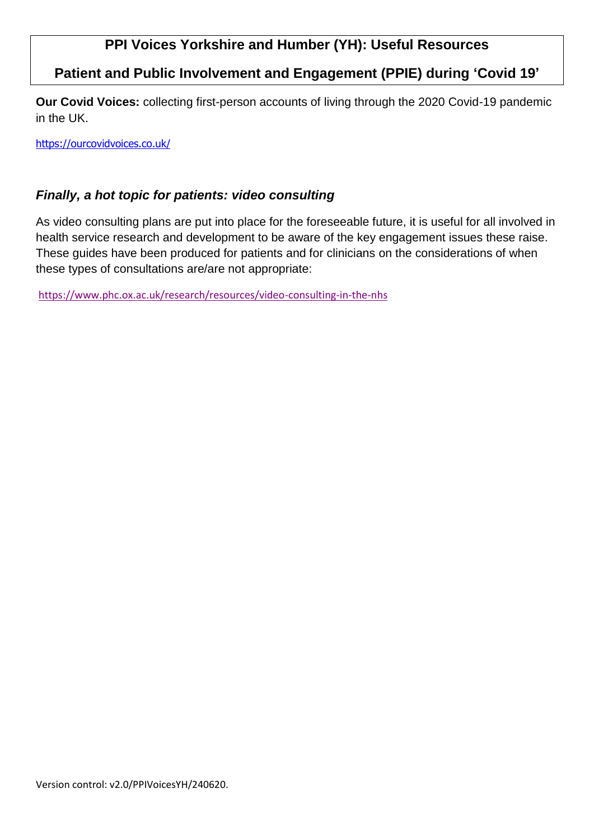## **Patient and Public Involvement and Engagement (PPIE) during 'Covid 19'**

**Our Covid Voices:** collecting first-person accounts of living through the 2020 Covid-19 pandemic in the UK.

[https://ourcovidvoices.co.uk/](https://owa.bradfordhospitals.nhs.uk/owa/redir.aspx?REF=YwR1E46TszySG-AtJexvWV5Fq346yA3RtPR9WZ540ybC9pPQbRPYCAFodHRwczovL291cmNvdmlkdm9pY2VzLmNvLnVrLw..)

#### *Finally, a hot topic for patients: video consulting*

As video consulting plans are put into place for the foreseeable future, it is useful for all involved in health service research and development to be aware of the key engagement issues these raise. These guides have been produced for patients and for clinicians on the considerations of when these types of consultations are/are not appropriate:

[https://www.phc.ox.ac.uk/research/resources/video-consulting-in-the-nhs](https://owa.bradfordhospitals.nhs.uk/owa/redir.aspx?REF=3eXAARQ0pItG4s_u2K_XCvM1M2RhVXNERD-9TAkQZOdqb7-cbRPYCAFodHRwczovL3d3dy5waGMub3guYWMudWsvcmVzZWFyY2gvcmVzb3VyY2VzL3ZpZGVvLWNvbnN1bHRpbmctaW4tdGhlLW5ocw..)